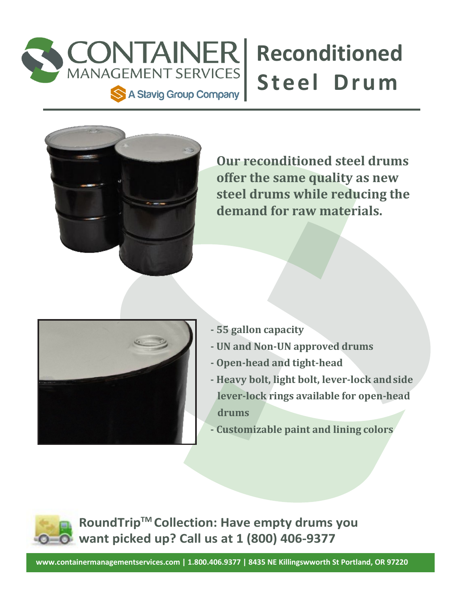

## **Reconditioned**

**Our reconditioned steel drums offer the same quality as new steel drums while reducing the demand for raw materials.**



- **- 55 gallon capacity**
- **- UN and Non-UN approved drums**
- **- Open-head and tight-head**
- **- Heavy bolt, light bolt, lever-lock andside lever-lock rings available for open-head drums**
- **- Customizable paint and lining colors**

**RoundTripTM Collection: Have empty drums you want picked up? Call us at 1 (800) 406-9377**

**[www.containermanagementservices.com |](http://www.containermanagementservices.com/) 1.800.406.9377 | 8435 NE Killingswworth St Portland, OR 97220**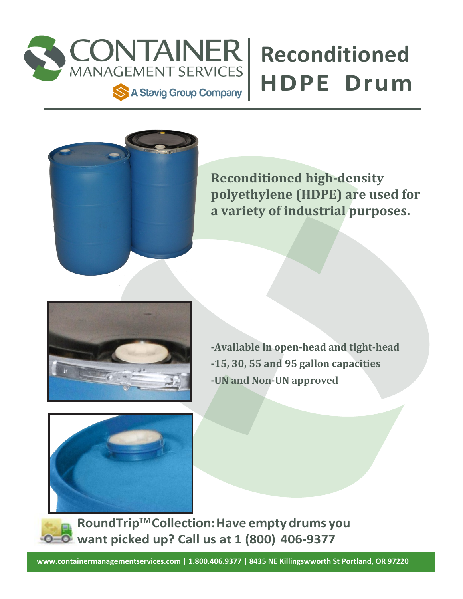

## **Reconditioned**



**Reconditioned high-density polyethylene (HDPE) are used for a variety of industrial purposes.**



**-Available in open-head and tight-head -15, 30, 55 and 95 gallon capacities -UN and Non-UN approved**



**RoundTripTM Collection:Have empty drums you want picked up? Call us at 1 (800) 406-9377**

**[www.containermanagementservices.com |](http://www.containermanagementservices.com/) 1.800.406.9377 | 8435 NE Killingswworth St Portland, OR 97220**